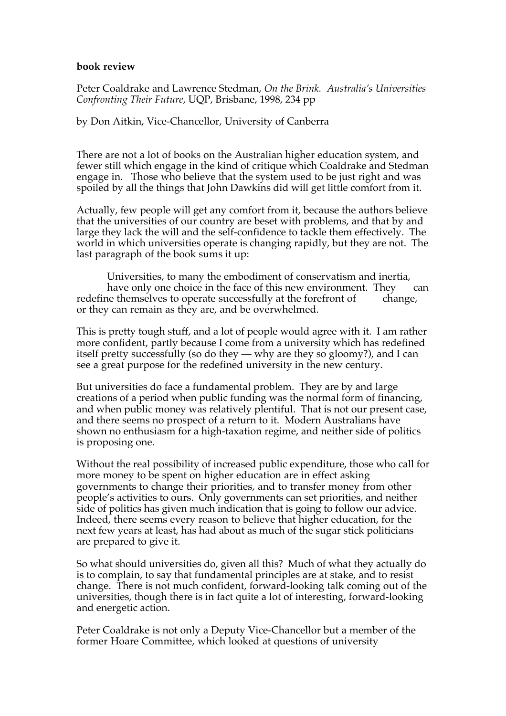## **book review**

Peter Coaldrake and Lawrence Stedman, *On the Brink. Australia's Universities Confronting Their Future*, UQP, Brisbane, 1998, 234 pp

by Don Aitkin, Vice-Chancellor, University of Canberra

There are not a lot of books on the Australian higher education system, and fewer still which engage in the kind of critique which Coaldrake and Stedman engage in. Those who believe that the system used to be just right and was spoiled by all the things that John Dawkins did will get little comfort from it.

Actually, few people will get any comfort from it, because the authors believe that the universities of our country are beset with problems, and that by and large they lack the will and the self-confidence to tackle them effectively. The world in which universities operate is changing rapidly, but they are not. The last paragraph of the book sums it up:

Universities, to many the embodiment of conservatism and inertia, have only one choice in the face of this new environment. They can redefine themselves to operate successfully at the forefront of change, or they can remain as they are, and be overwhelmed.

This is pretty tough stuff, and a lot of people would agree with it. I am rather more confident, partly because I come from a university which has redefined itself pretty successfully (so do they — why are they so gloomy?), and I can see a great purpose for the redefined university in the new century.

But universities do face a fundamental problem. They are by and large creations of a period when public funding was the normal form of financing, and when public money was relatively plentiful. That is not our present case, and there seems no prospect of a return to it. Modern Australians have shown no enthusiasm for a high-taxation regime, and neither side of politics is proposing one.

Without the real possibility of increased public expenditure, those who call for more money to be spent on higher education are in effect asking governments to change their priorities, and to transfer money from other people's activities to ours. Only governments can set priorities, and neither side of politics has given much indication that is going to follow our advice. Indeed, there seems every reason to believe that higher education, for the next few years at least, has had about as much of the sugar stick politicians are prepared to give it.

So what should universities do, given all this? Much of what they actually do is to complain, to say that fundamental principles are at stake, and to resist change. There is not much confident, forward-looking talk coming out of the universities, though there is in fact quite a lot of interesting, forward-looking and energetic action.

Peter Coaldrake is not only a Deputy Vice-Chancellor but a member of the former Hoare Committee, which looked at questions of university